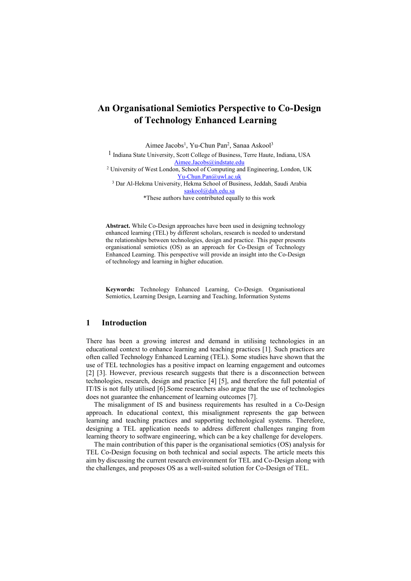# **An Organisational Semiotics Perspective to Co-Design of Technology Enhanced Learning**

Aimee Jacobs<sup>1</sup>, Yu-Chun Pan<sup>2</sup>, Sanaa Askool<sup>3</sup>

1 Indiana State University, Scott College of Business, Terre Haute, Indiana, USA [Aimee.Jacobs@indstate.edu](mailto:Aimee.Jacobs@indstate.edu) <sup>2</sup> University of West London, School of Computing and Engineering, London, UK

[Yu-Chun.Pan@uwl.ac.uk](mailto:Yu-Chun.Pan@uwl.ac.uk) <sup>3</sup> Dar Al-Hekma University, Hekma School of Business, Jeddah, Saudi Arabia [saskool@dah.edu.sa](mailto:Yu-Chun.Pan@uwl.ac.uk)

\*These authors have contributed equally to this work

**Abstract.** While Co-Design approaches have been used in designing technology enhanced learning (TEL) by different scholars, research is needed to understand the relationships between technologies, design and practice. This paper presents organisational semiotics (OS) as an approach for Co-Design of Technology Enhanced Learning. This perspective will provide an insight into the Co-Design of technology and learning in higher education.

**Keywords:** Technology Enhanced Learning, Co-Design. Organisational Semiotics, Learning Design, Learning and Teaching, Information Systems

# **1 Introduction**

There has been a growing interest and demand in utilising technologies in an educational context to enhance learning and teaching practices [1]. Such practices are often called Technology Enhanced Learning (TEL). Some studies have shown that the use of TEL technologies has a positive impact on learning engagement and outcomes [2] [3]. However, previous research suggests that there is a disconnection between technologies, research, design and practice [4] [5], and therefore the full potential of IT/IS is not fully utilised [6].Some researchers also argue that the use of technologies does not guarantee the enhancement of learning outcomes [7].

The misalignment of IS and business requirements has resulted in a Co-Design approach. In educational context, this misalignment represents the gap between learning and teaching practices and supporting technological systems. Therefore, designing a TEL application needs to address different challenges ranging from learning theory to software engineering, which can be a key challenge for developers.

The main contribution of this paper is the organisational semiotics (OS) analysis for TEL Co-Design focusing on both technical and social aspects. The article meets this aim by discussing the current research environment for TEL and Co-Design along with the challenges, and proposes OS as a well-suited solution for Co-Design of TEL.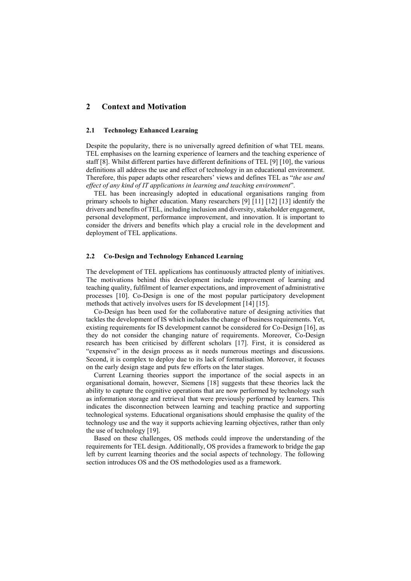## **2 Context and Motivation**

#### **2.1 Technology Enhanced Learning**

Despite the popularity, there is no universally agreed definition of what TEL means. TEL emphasises on the learning experience of learners and the teaching experience of staff [8]. Whilst different parties have different definitions of TEL [9] [10], the various definitions all address the use and effect of technology in an educational environment. Therefore, this paper adapts other researchers' views and defines TEL as "*the use and effect of any kind of IT applications in learning and teaching environment*".

TEL has been increasingly adopted in educational organisations ranging from primary schools to higher education. Many researchers [9] [11] [12] [13] identify the drivers and benefits of TEL, including inclusion and diversity, stakeholder engagement, personal development, performance improvement, and innovation. It is important to consider the drivers and benefits which play a crucial role in the development and deployment of TEL applications.

#### **2.2 Co-Design and Technology Enhanced Learning**

The development of TEL applications has continuously attracted plenty of initiatives. The motivations behind this development include improvement of learning and teaching quality, fulfilment of learner expectations, and improvement of administrative processes [10]. Co-Design is one of the most popular participatory development methods that actively involves users for IS development [14] [15].

Co-Design has been used for the collaborative nature of designing activities that tackles the development of IS which includes the change of business requirements. Yet, existing requirements for IS development cannot be considered for Co-Design [16], as they do not consider the changing nature of requirements. Moreover, Co-Design research has been criticised by different scholars [17]. First, it is considered as "expensive" in the design process as it needs numerous meetings and discussions. Second, it is complex to deploy due to its lack of formalisation. Moreover, it focuses on the early design stage and puts few efforts on the later stages.

Current Learning theories support the importance of the social aspects in an organisational domain, however, Siemens [18] suggests that these theories lack the ability to capture the cognitive operations that are now performed by technology such as information storage and retrieval that were previously performed by learners. This indicates the disconnection between learning and teaching practice and supporting technological systems. Educational organisations should emphasise the quality of the technology use and the way it supports achieving learning objectives, rather than only the use of technology [19].

Based on these challenges, OS methods could improve the understanding of the requirements for TEL design. Additionally, OS provides a framework to bridge the gap left by current learning theories and the social aspects of technology. The following section introduces OS and the OS methodologies used as a framework.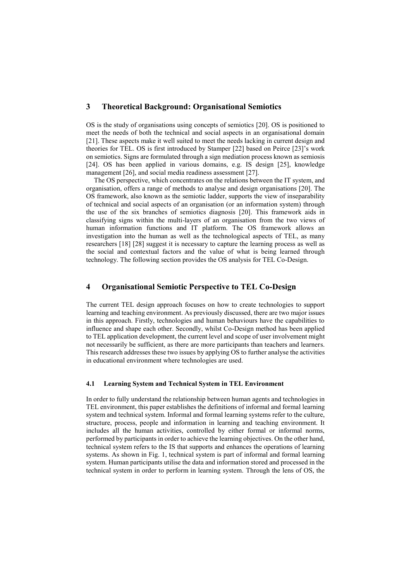## **3 Theoretical Background: Organisational Semiotics**

OS is the study of organisations using concepts of semiotics [20]. OS is positioned to meet the needs of both the technical and social aspects in an organisational domain [21]. These aspects make it well suited to meet the needs lacking in current design and theories for TEL. OS is first introduced by Stamper [22] based on Peirce [23]'s work on semiotics. Signs are formulated through a sign mediation process known as semiosis [24]. OS has been applied in various domains, e.g. IS design [25], knowledge management [26], and social media readiness assessment [27].

The OS perspective, which concentrates on the relations between the IT system, and organisation, offers a range of methods to analyse and design organisations [20]. The OS framework, also known as the semiotic ladder, supports the view of inseparability of technical and social aspects of an organisation (or an information system) through the use of the six branches of semiotics diagnosis [20]. This framework aids in classifying signs within the multi-layers of an organisation from the two views of human information functions and IT platform. The OS framework allows an investigation into the human as well as the technological aspects of TEL, as many researchers [18] [28] suggest it is necessary to capture the learning process as well as the social and contextual factors and the value of what is being learned through technology. The following section provides the OS analysis for TEL Co-Design.

#### **4 Organisational Semiotic Perspective to TEL Co-Design**

The current TEL design approach focuses on how to create technologies to support learning and teaching environment. As previously discussed, there are two major issues in this approach. Firstly, technologies and human behaviours have the capabilities to influence and shape each other. Secondly, whilst Co-Design method has been applied to TEL application development, the current level and scope of user involvement might not necessarily be sufficient, as there are more participants than teachers and learners. This research addresses these two issues by applying OS to further analyse the activities in educational environment where technologies are used.

#### **4.1 Learning System and Technical System in TEL Environment**

In order to fully understand the relationship between human agents and technologies in TEL environment, this paper establishes the definitions of informal and formal learning system and technical system. Informal and formal learning systems refer to the culture, structure, process, people and information in learning and teaching environment. It includes all the human activities, controlled by either formal or informal norms, performed by participants in order to achieve the learning objectives. On the other hand, technical system refers to the IS that supports and enhances the operations of learning systems. As shown in Fig. 1, technical system is part of informal and formal learning system. Human participants utilise the data and information stored and processed in the technical system in order to perform in learning system. Through the lens of OS, the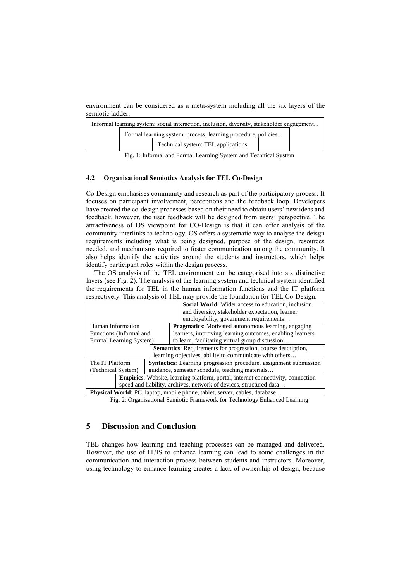environment can be considered as a meta-system including all the six layers of the semiotic ladder.

| Informal learning system: social interaction, inclusion, diversity, stakeholder engagement |                                                               |                                    |  |  |  |
|--------------------------------------------------------------------------------------------|---------------------------------------------------------------|------------------------------------|--|--|--|
|                                                                                            | Formal learning system: process, learning procedure, policies |                                    |  |  |  |
|                                                                                            |                                                               | Technical system: TEL applications |  |  |  |
| P. 1 T.C. 1 T. 1 T. 1 T. 1 O.J. 1 T. 1 T. 1 O.J. 1                                         |                                                               |                                    |  |  |  |

Fig. 1: Informal and Formal Learning System and Technical System

## **4.2 Organisational Semiotics Analysis for TEL Co-Design**

Co-Design emphasises community and research as part of the participatory process. It focuses on participant involvement, perceptions and the feedback loop. Developers have created the co-design processes based on their need to obtain users' new ideas and feedback, however, the user feedback will be designed from users' perspective. The attractiveness of OS viewpoint for CO-Design is that it can offer analysis of the community interlinks to technology. OS offers a systematic way to analyse the deisgn requirements including what is being designed, purpose of the design, resources needed, and mechanisms required to foster communication among the community. It also helps identify the activities around the students and instructors, which helps identify participant roles within the design process.

The OS analysis of the TEL environment can be categorised into six distinctive layers (see Fig. 2). The analysis of the learning system and technical system identified the requirements for TEL in the human information functions and the IT platform respectively. This analysis of TEL may provide the foundation for TEL Co-Design.

| respectively. This what you of TEE line provide the foundation for TEE CO Design. |                                                                                        |                                                                     |  |  |
|-----------------------------------------------------------------------------------|----------------------------------------------------------------------------------------|---------------------------------------------------------------------|--|--|
|                                                                                   |                                                                                        | Social World: Wider access to education, inclusion                  |  |  |
|                                                                                   |                                                                                        | and diversity, stakeholder expectation, learner                     |  |  |
|                                                                                   |                                                                                        | employability, government requirements                              |  |  |
| Human Information                                                                 |                                                                                        | <b>Pragmatics:</b> Motivated autonomous learning, engaging          |  |  |
| Functions (Informal and                                                           |                                                                                        | learners, improving learning outcomes, enabling learners            |  |  |
| Formal Learning System)                                                           |                                                                                        | to learn, facilitating virtual group discussion                     |  |  |
|                                                                                   |                                                                                        | <b>Semantics:</b> Requirements for progression, course description, |  |  |
|                                                                                   |                                                                                        | learning objectives, ability to communicate with others             |  |  |
| The IT Platform                                                                   | <b>Syntactics:</b> Learning progression procedure, assignment submission               |                                                                     |  |  |
| (Technical System)                                                                | guidance, semester schedule, teaching materials                                        |                                                                     |  |  |
|                                                                                   | <b>Empirics:</b> Website, learning platform, portal, internet connectivity, connection |                                                                     |  |  |
| speed and liability, archives, network of devices, structured data                |                                                                                        |                                                                     |  |  |
| <b>Physical World:</b> PC, laptop, mobile phone, tablet, server, cables, database |                                                                                        |                                                                     |  |  |

Fig. 2: Organisational Semiotic Framework for Technology Enhanced Learning

# **5 Discussion and Conclusion**

TEL changes how learning and teaching processes can be managed and delivered. However, the use of IT/IS to enhance learning can lead to some challenges in the communication and interaction process between students and instructors. Moreover, using technology to enhance learning creates a lack of ownership of design, because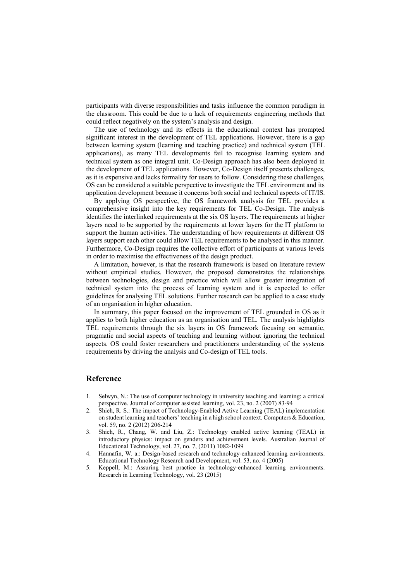participants with diverse responsibilities and tasks influence the common paradigm in the classroom. This could be due to a lack of requirements engineering methods that could reflect negatively on the system's analysis and design.

The use of technology and its effects in the educational context has prompted significant interest in the development of TEL applications. However, there is a gap between learning system (learning and teaching practice) and technical system (TEL applications), as many TEL developments fail to recognise learning system and technical system as one integral unit. Co-Design approach has also been deployed in the development of TEL applications. However, Co-Design itself presents challenges, as it is expensive and lacks formality for users to follow. Considering these challenges, OS can be considered a suitable perspective to investigate the TEL environment and its application development because it concerns both social and technical aspects of IT/IS.

By applying OS perspective, the OS framework analysis for TEL provides a comprehensive insight into the key requirements for TEL Co-Design. The analysis identifies the interlinked requirements at the six OS layers. The requirements at higher layers need to be supported by the requirements at lower layers for the IT platform to support the human activities. The understanding of how requirements at different OS layers support each other could allow TEL requirements to be analysed in this manner. Furthermore, Co-Design requires the collective effort of participants at various levels in order to maximise the effectiveness of the design product.

A limitation, however, is that the research framework is based on literature review without empirical studies. However, the proposed demonstrates the relationships between technologies, design and practice which will allow greater integration of technical system into the process of learning system and it is expected to offer guidelines for analysing TEL solutions. Further research can be applied to a case study of an organisation in higher education.

In summary, this paper focused on the improvement of TEL grounded in OS as it applies to both higher education as an organisation and TEL. The analysis highlights TEL requirements through the six layers in OS framework focusing on semantic, pragmatic and social aspects of teaching and learning without ignoring the technical aspects. OS could foster researchers and practitioners understanding of the systems requirements by driving the analysis and Co-design of TEL tools.

### **Reference**

- 1. Selwyn, N.: The use of computer technology in university teaching and learning: a critical perspective. Journal of computer assisted learning, vol. 23, no. 2 (2007) 83-94
- 2. Shieh, R. S.: The impact of Technology-Enabled Active Learning (TEAL) implementation on student learning and teachers' teaching in a high school context. Computers & Education, vol. 59, no. 2 (2012) 206-214
- 3. Shieh, R., Chang, W. and Liu, Z.: Technology enabled active learning (TEAL) in introductory physics: impact on genders and achievement levels. Australian Journal of Educational Technology, vol. 27, no. 7, (2011) 1082-1099
- 4. Hannafin, W. a.: Design-based research and technology-enhanced learning environments. Educational Technology Research and Development, vol. 53, no. 4 (2005)
- 5. Keppell, M.: Assuring best practice in technology-enhanced learning environments. Research in Learning Technology, vol. 23 (2015)